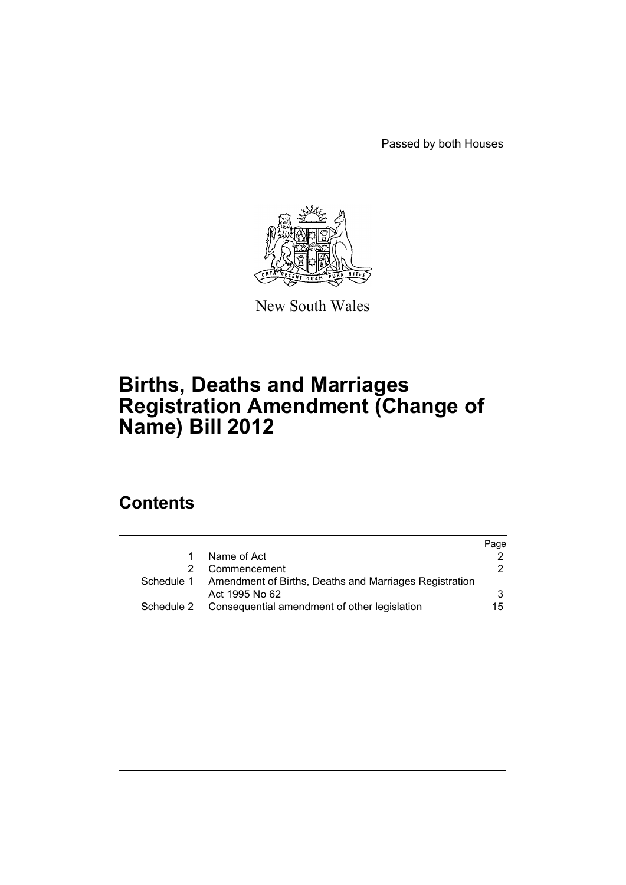Passed by both Houses



New South Wales

# **Births, Deaths and Marriages Registration Amendment (Change of Name) Bill 2012**

# **Contents**

|            |                                                        | Page |
|------------|--------------------------------------------------------|------|
|            | Name of Act                                            |      |
|            | Commencement                                           | 2    |
| Schedule 1 | Amendment of Births, Deaths and Marriages Registration |      |
|            | Act 1995 No 62                                         | 3    |
| Schedule 2 | Consequential amendment of other legislation           | 15   |
|            |                                                        |      |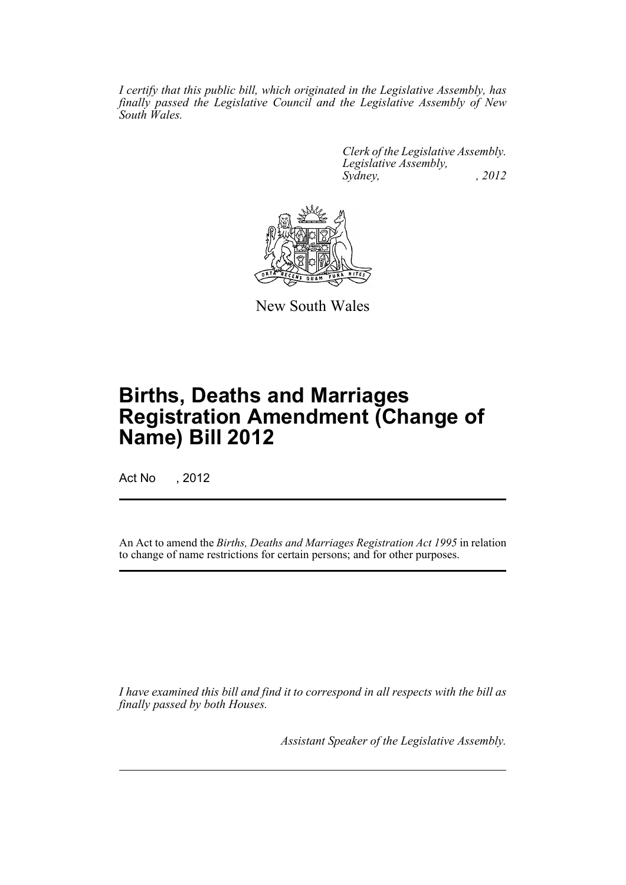*I certify that this public bill, which originated in the Legislative Assembly, has finally passed the Legislative Council and the Legislative Assembly of New South Wales.*

> *Clerk of the Legislative Assembly. Legislative Assembly, Sydney, , 2012*



New South Wales

# **Births, Deaths and Marriages Registration Amendment (Change of Name) Bill 2012**

Act No , 2012

An Act to amend the *Births, Deaths and Marriages Registration Act 1995* in relation to change of name restrictions for certain persons; and for other purposes.

*I have examined this bill and find it to correspond in all respects with the bill as finally passed by both Houses.*

*Assistant Speaker of the Legislative Assembly.*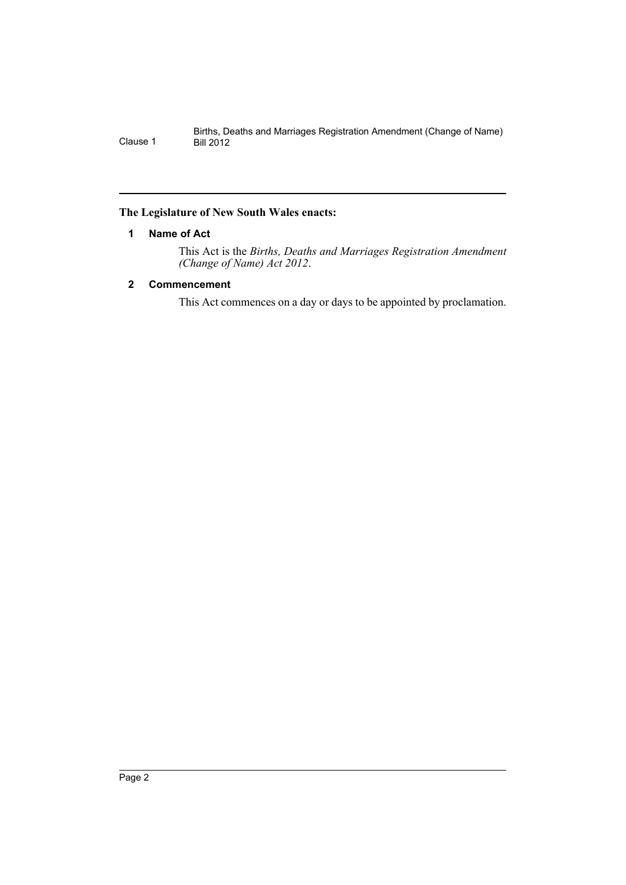## <span id="page-3-0"></span>**The Legislature of New South Wales enacts:**

## **1 Name of Act**

This Act is the *Births, Deaths and Marriages Registration Amendment (Change of Name) Act 2012*.

## <span id="page-3-1"></span>**2 Commencement**

This Act commences on a day or days to be appointed by proclamation.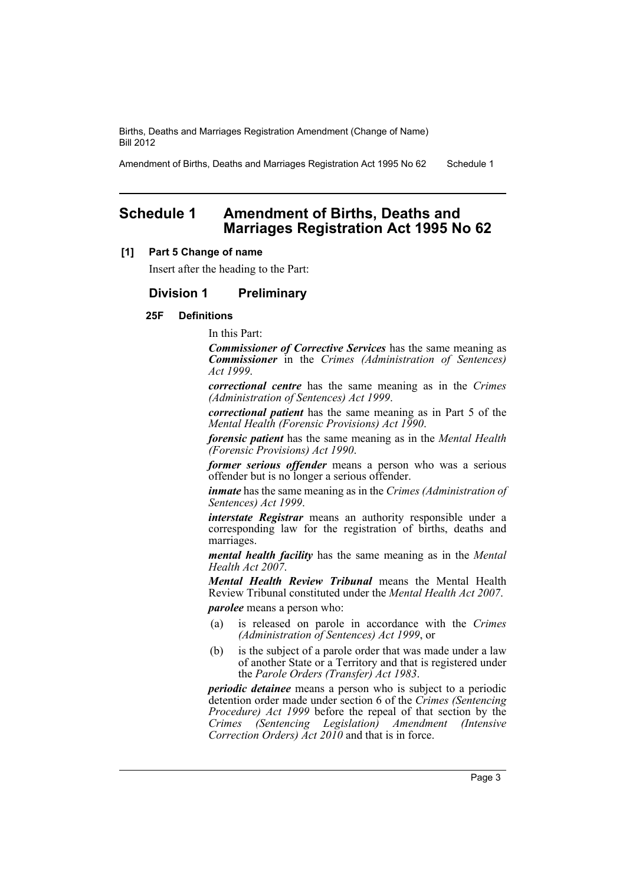Amendment of Births, Deaths and Marriages Registration Act 1995 No 62 Schedule 1

# <span id="page-4-0"></span>**Schedule 1 Amendment of Births, Deaths and Marriages Registration Act 1995 No 62**

## **[1] Part 5 Change of name**

Insert after the heading to the Part:

## **Division 1 Preliminary**

## **25F Definitions**

In this Part:

*Commissioner of Corrective Services* has the same meaning as *Commissioner* in the *Crimes (Administration of Sentences) Act 1999*.

*correctional centre* has the same meaning as in the *Crimes (Administration of Sentences) Act 1999*.

*correctional patient* has the same meaning as in Part 5 of the *Mental Health (Forensic Provisions) Act 1990*.

*forensic patient* has the same meaning as in the *Mental Health (Forensic Provisions) Act 1990*.

*former serious offender* means a person who was a serious offender but is no longer a serious offender.

*inmate* has the same meaning as in the *Crimes (Administration of Sentences) Act 1999*.

*interstate Registrar* means an authority responsible under a corresponding law for the registration of births, deaths and marriages.

*mental health facility* has the same meaning as in the *Mental Health Act 2007*.

*Mental Health Review Tribunal* means the Mental Health Review Tribunal constituted under the *Mental Health Act 2007*. *parolee* means a person who:

- (a) is released on parole in accordance with the *Crimes (Administration of Sentences) Act 1999*, or
- (b) is the subject of a parole order that was made under a law of another State or a Territory and that is registered under the *Parole Orders (Transfer) Act 1983*.

*periodic detainee* means a person who is subject to a periodic detention order made under section 6 of the *Crimes (Sentencing Procedure) Act 1999* before the repeal of that section by the *Crimes (Sentencing Legislation) Amendment (Intensive Correction Orders) Act 2010* and that is in force.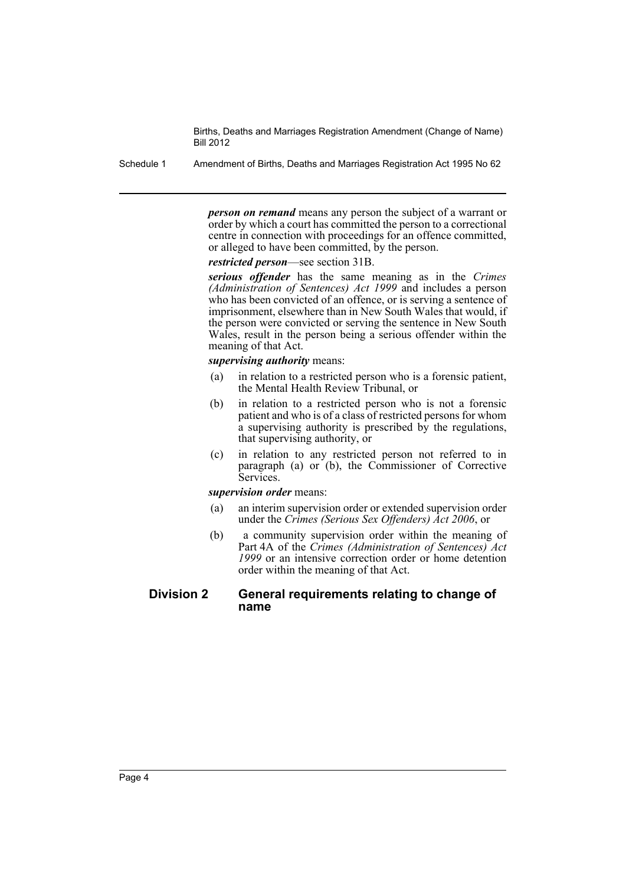Schedule 1 Amendment of Births, Deaths and Marriages Registration Act 1995 No 62

*person on remand* means any person the subject of a warrant or order by which a court has committed the person to a correctional centre in connection with proceedings for an offence committed, or alleged to have been committed, by the person.

*restricted person*—see section 31B.

*serious offender* has the same meaning as in the *Crimes (Administration of Sentences) Act 1999* and includes a person who has been convicted of an offence, or is serving a sentence of imprisonment, elsewhere than in New South Wales that would, if the person were convicted or serving the sentence in New South Wales, result in the person being a serious offender within the meaning of that Act.

*supervising authority* means:

- (a) in relation to a restricted person who is a forensic patient, the Mental Health Review Tribunal, or
- (b) in relation to a restricted person who is not a forensic patient and who is of a class of restricted persons for whom a supervising authority is prescribed by the regulations, that supervising authority, or
- (c) in relation to any restricted person not referred to in paragraph (a) or (b), the Commissioner of Corrective Services.

*supervision order* means:

- (a) an interim supervision order or extended supervision order under the *Crimes (Serious Sex Offenders) Act 2006*, or
- (b) a community supervision order within the meaning of Part 4A of the *Crimes (Administration of Sentences) Act 1999* or an intensive correction order or home detention order within the meaning of that Act.

## **Division 2 General requirements relating to change of name**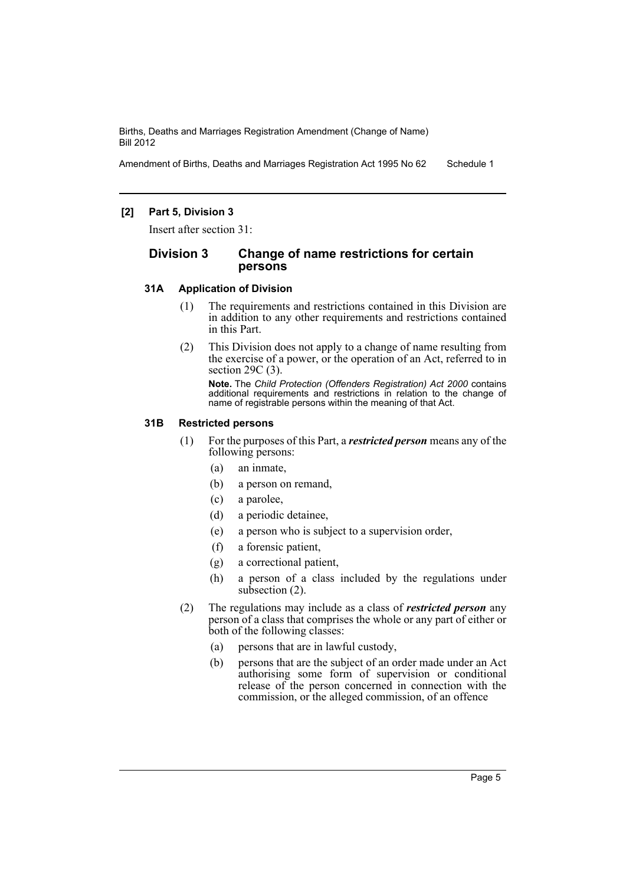Amendment of Births, Deaths and Marriages Registration Act 1995 No 62 Schedule 1

## **[2] Part 5, Division 3**

Insert after section 31:

## **Division 3 Change of name restrictions for certain persons**

#### **31A Application of Division**

- (1) The requirements and restrictions contained in this Division are in addition to any other requirements and restrictions contained in this Part.
- (2) This Division does not apply to a change of name resulting from the exercise of a power, or the operation of an Act, referred to in section 29C (3).

**Note.** The *Child Protection (Offenders Registration) Act 2000* contains additional requirements and restrictions in relation to the change of name of registrable persons within the meaning of that Act.

## **31B Restricted persons**

- (1) For the purposes of this Part, a *restricted person* means any of the following persons:
	- (a) an inmate,
	- (b) a person on remand,
	- (c) a parolee,
	- (d) a periodic detainee,
	- (e) a person who is subject to a supervision order,
	- (f) a forensic patient,
	- (g) a correctional patient,
	- (h) a person of a class included by the regulations under subsection (2).
- (2) The regulations may include as a class of *restricted person* any person of a class that comprises the whole or any part of either or both of the following classes:
	- (a) persons that are in lawful custody,
	- (b) persons that are the subject of an order made under an Act authorising some form of supervision or conditional release of the person concerned in connection with the commission, or the alleged commission, of an offence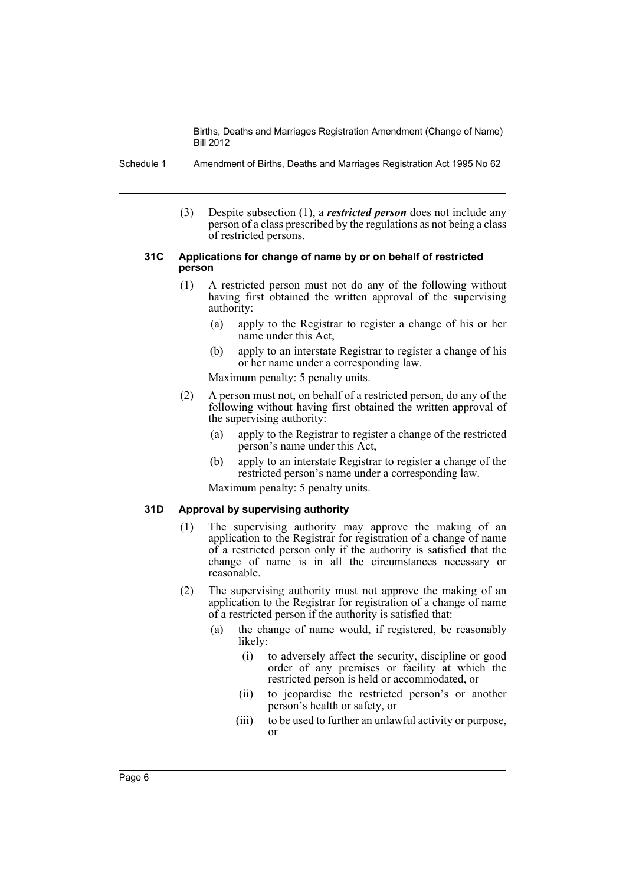Schedule 1 Amendment of Births, Deaths and Marriages Registration Act 1995 No 62

(3) Despite subsection (1), a *restricted person* does not include any person of a class prescribed by the regulations as not being a class of restricted persons.

#### **31C Applications for change of name by or on behalf of restricted person**

- (1) A restricted person must not do any of the following without having first obtained the written approval of the supervising authority:
	- (a) apply to the Registrar to register a change of his or her name under this Act,
	- (b) apply to an interstate Registrar to register a change of his or her name under a corresponding law.

Maximum penalty: 5 penalty units.

- (2) A person must not, on behalf of a restricted person, do any of the following without having first obtained the written approval of the supervising authority:
	- (a) apply to the Registrar to register a change of the restricted person's name under this Act,
	- (b) apply to an interstate Registrar to register a change of the restricted person's name under a corresponding law.

Maximum penalty: 5 penalty units.

#### **31D Approval by supervising authority**

- (1) The supervising authority may approve the making of an application to the Registrar for registration of a change of name of a restricted person only if the authority is satisfied that the change of name is in all the circumstances necessary or reasonable.
- (2) The supervising authority must not approve the making of an application to the Registrar for registration of a change of name of a restricted person if the authority is satisfied that:
	- (a) the change of name would, if registered, be reasonably likely:
		- (i) to adversely affect the security, discipline or good order of any premises or facility at which the restricted person is held or accommodated, or
		- (ii) to jeopardise the restricted person's or another person's health or safety, or
		- (iii) to be used to further an unlawful activity or purpose, or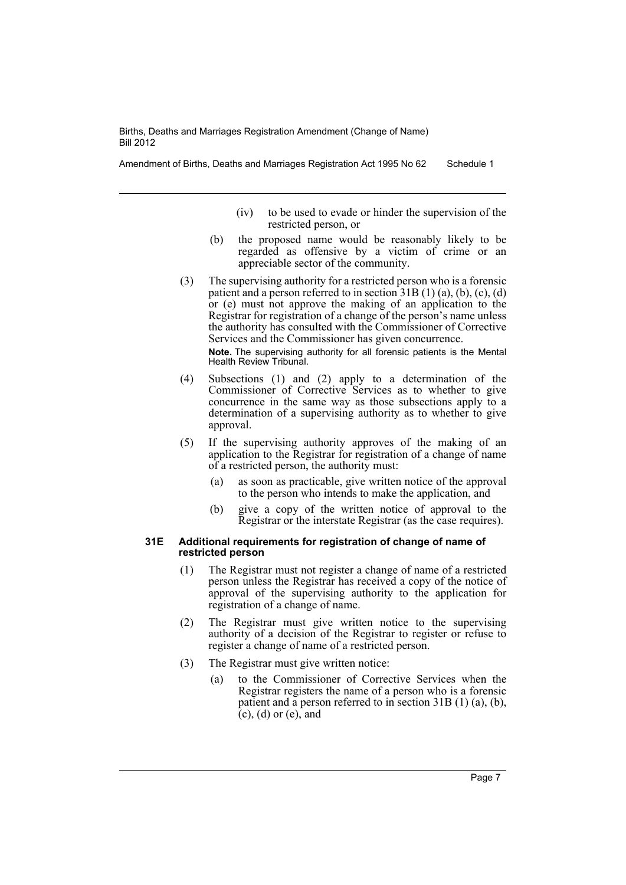Amendment of Births, Deaths and Marriages Registration Act 1995 No 62 Schedule 1

- (iv) to be used to evade or hinder the supervision of the restricted person, or
- (b) the proposed name would be reasonably likely to be regarded as offensive by a victim of crime or an appreciable sector of the community.
- (3) The supervising authority for a restricted person who is a forensic patient and a person referred to in section  $31B(1)(a)$ , (b), (c), (d) or (e) must not approve the making of an application to the Registrar for registration of a change of the person's name unless the authority has consulted with the Commissioner of Corrective Services and the Commissioner has given concurrence.

**Note.** The supervising authority for all forensic patients is the Mental Health Review Tribunal.

- (4) Subsections (1) and (2) apply to a determination of the Commissioner of Corrective Services as to whether to give concurrence in the same way as those subsections apply to a determination of a supervising authority as to whether to give approval.
- (5) If the supervising authority approves of the making of an application to the Registrar for registration of a change of name of a restricted person, the authority must:
	- (a) as soon as practicable, give written notice of the approval to the person who intends to make the application, and
	- (b) give a copy of the written notice of approval to the Registrar or the interstate Registrar (as the case requires).

#### **31E Additional requirements for registration of change of name of restricted person**

- (1) The Registrar must not register a change of name of a restricted person unless the Registrar has received a copy of the notice of approval of the supervising authority to the application for registration of a change of name.
- (2) The Registrar must give written notice to the supervising authority of a decision of the Registrar to register or refuse to register a change of name of a restricted person.
- (3) The Registrar must give written notice:
	- (a) to the Commissioner of Corrective Services when the Registrar registers the name of a person who is a forensic patient and a person referred to in section 31B (1) (a), (b), (c), (d) or (e), and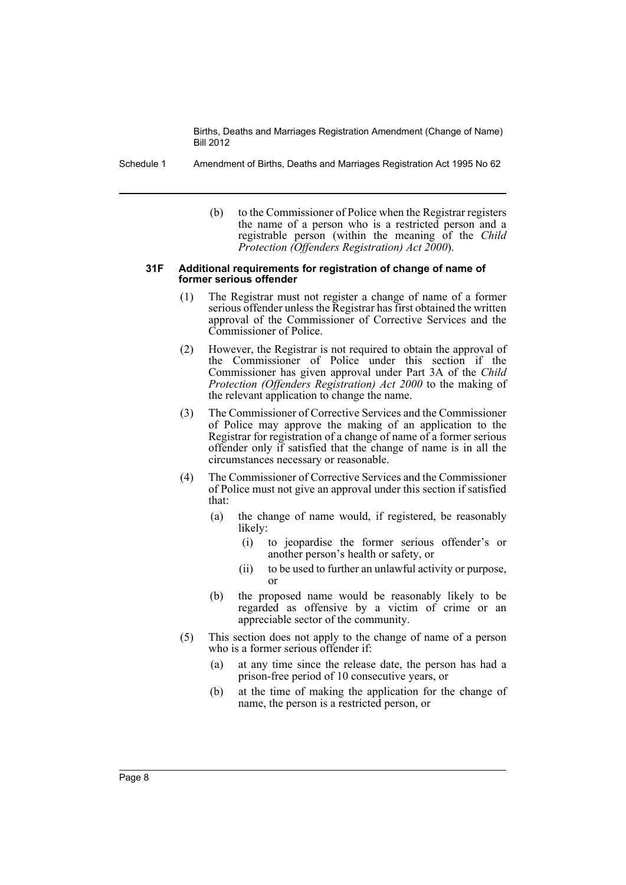- Schedule 1 Amendment of Births, Deaths and Marriages Registration Act 1995 No 62
	- (b) to the Commissioner of Police when the Registrar registers the name of a person who is a restricted person and a registrable person (within the meaning of the *Child Protection (Offenders Registration) Act 2000*).

#### **31F Additional requirements for registration of change of name of former serious offender**

- (1) The Registrar must not register a change of name of a former serious offender unless the Registrar has first obtained the written approval of the Commissioner of Corrective Services and the Commissioner of Police.
- (2) However, the Registrar is not required to obtain the approval of the Commissioner of Police under this section if the Commissioner has given approval under Part 3A of the *Child Protection (Offenders Registration) Act 2000* to the making of the relevant application to change the name.
- (3) The Commissioner of Corrective Services and the Commissioner of Police may approve the making of an application to the Registrar for registration of a change of name of a former serious offender only if satisfied that the change of name is in all the circumstances necessary or reasonable.
- (4) The Commissioner of Corrective Services and the Commissioner of Police must not give an approval under this section if satisfied that:
	- (a) the change of name would, if registered, be reasonably likely:
		- (i) to jeopardise the former serious offender's or another person's health or safety, or
		- (ii) to be used to further an unlawful activity or purpose, or
	- (b) the proposed name would be reasonably likely to be regarded as offensive by a victim of crime or an appreciable sector of the community.
- (5) This section does not apply to the change of name of a person who is a former serious offender if:
	- (a) at any time since the release date, the person has had a prison-free period of 10 consecutive years, or
	- (b) at the time of making the application for the change of name, the person is a restricted person, or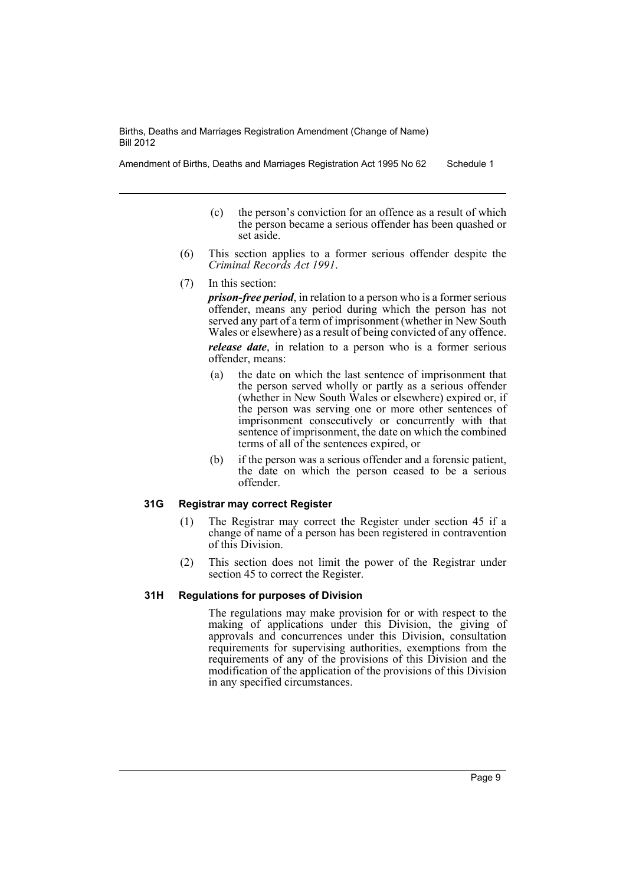Amendment of Births, Deaths and Marriages Registration Act 1995 No 62 Schedule 1

- (c) the person's conviction for an offence as a result of which the person became a serious offender has been quashed or set aside.
- (6) This section applies to a former serious offender despite the *Criminal Records Act 1991*.
- (7) In this section:

*prison-free period*, in relation to a person who is a former serious offender, means any period during which the person has not served any part of a term of imprisonment (whether in New South Wales or elsewhere) as a result of being convicted of any offence. *release date*, in relation to a person who is a former serious offender, means:

- (a) the date on which the last sentence of imprisonment that the person served wholly or partly as a serious offender (whether in New South Wales or elsewhere) expired or, if the person was serving one or more other sentences of imprisonment consecutively or concurrently with that sentence of imprisonment, the date on which the combined terms of all of the sentences expired, or
- (b) if the person was a serious offender and a forensic patient, the date on which the person ceased to be a serious offender.

#### **31G Registrar may correct Register**

- (1) The Registrar may correct the Register under section 45 if a change of name of a person has been registered in contravention of this Division.
- (2) This section does not limit the power of the Registrar under section 45 to correct the Register.

## **31H Regulations for purposes of Division**

The regulations may make provision for or with respect to the making of applications under this Division, the giving of approvals and concurrences under this Division, consultation requirements for supervising authorities, exemptions from the requirements of any of the provisions of this Division and the modification of the application of the provisions of this Division in any specified circumstances.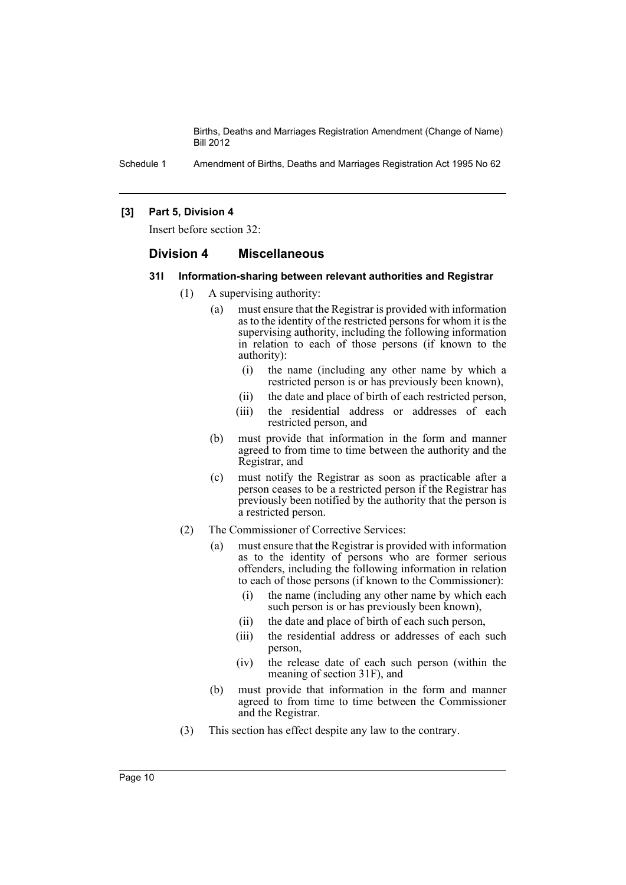Schedule 1 Amendment of Births, Deaths and Marriages Registration Act 1995 No 62

#### **[3] Part 5, Division 4**

Insert before section 32:

## **Division 4 Miscellaneous**

#### **31I Information-sharing between relevant authorities and Registrar**

- (1) A supervising authority:
	- (a) must ensure that the Registrar is provided with information as to the identity of the restricted persons for whom it is the supervising authority, including the following information in relation to each of those persons (if known to the authority):
		- (i) the name (including any other name by which a restricted person is or has previously been known),
		- (ii) the date and place of birth of each restricted person,
		- (iii) the residential address or addresses of each restricted person, and
	- (b) must provide that information in the form and manner agreed to from time to time between the authority and the Registrar, and
	- (c) must notify the Registrar as soon as practicable after a person ceases to be a restricted person if the Registrar has previously been notified by the authority that the person is a restricted person.
- (2) The Commissioner of Corrective Services:
	- (a) must ensure that the Registrar is provided with information as to the identity of persons who are former serious offenders, including the following information in relation to each of those persons (if known to the Commissioner):
		- (i) the name (including any other name by which each such person is or has previously been known),
		- (ii) the date and place of birth of each such person,
		- (iii) the residential address or addresses of each such person,
		- (iv) the release date of each such person (within the meaning of section 31F), and
	- (b) must provide that information in the form and manner agreed to from time to time between the Commissioner and the Registrar.
- (3) This section has effect despite any law to the contrary.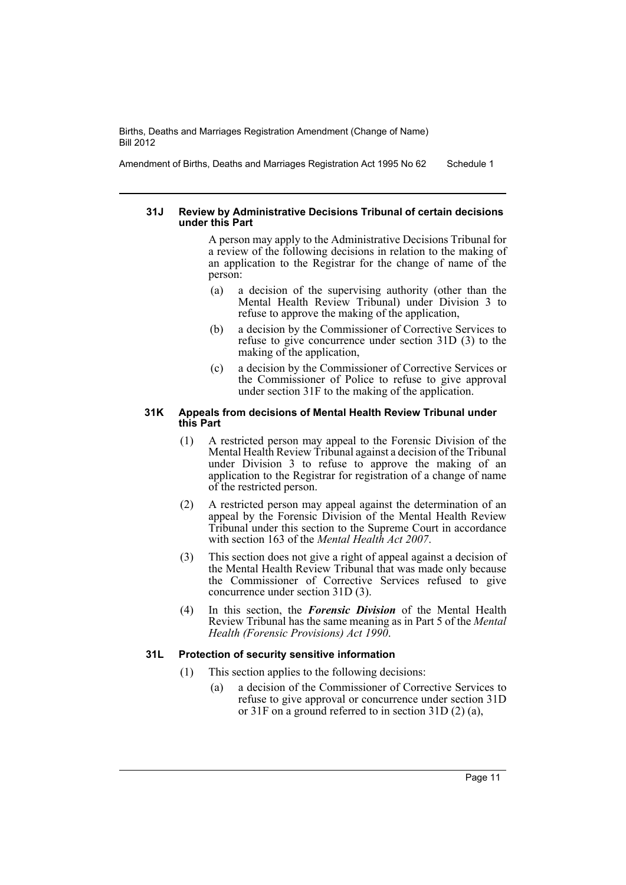Amendment of Births, Deaths and Marriages Registration Act 1995 No 62 Schedule 1

#### **31J Review by Administrative Decisions Tribunal of certain decisions under this Part**

A person may apply to the Administrative Decisions Tribunal for a review of the following decisions in relation to the making of an application to the Registrar for the change of name of the person:

- (a) a decision of the supervising authority (other than the Mental Health Review Tribunal) under Division 3 to refuse to approve the making of the application,
- (b) a decision by the Commissioner of Corrective Services to refuse to give concurrence under section 31D (3) to the making of the application,
- (c) a decision by the Commissioner of Corrective Services or the Commissioner of Police to refuse to give approval under section 31F to the making of the application.

#### **31K Appeals from decisions of Mental Health Review Tribunal under this Part**

- (1) A restricted person may appeal to the Forensic Division of the Mental Health Review Tribunal against a decision of the Tribunal under Division 3 to refuse to approve the making of an application to the Registrar for registration of a change of name of the restricted person.
- (2) A restricted person may appeal against the determination of an appeal by the Forensic Division of the Mental Health Review Tribunal under this section to the Supreme Court in accordance with section 163 of the *Mental Health Act 2007*.
- (3) This section does not give a right of appeal against a decision of the Mental Health Review Tribunal that was made only because the Commissioner of Corrective Services refused to give concurrence under section 31D (3).
- (4) In this section, the *Forensic Division* of the Mental Health Review Tribunal has the same meaning as in Part 5 of the *Mental Health (Forensic Provisions) Act 1990*.

## **31L Protection of security sensitive information**

- (1) This section applies to the following decisions:
	- (a) a decision of the Commissioner of Corrective Services to refuse to give approval or concurrence under section 31D or 31F on a ground referred to in section 31D (2) (a),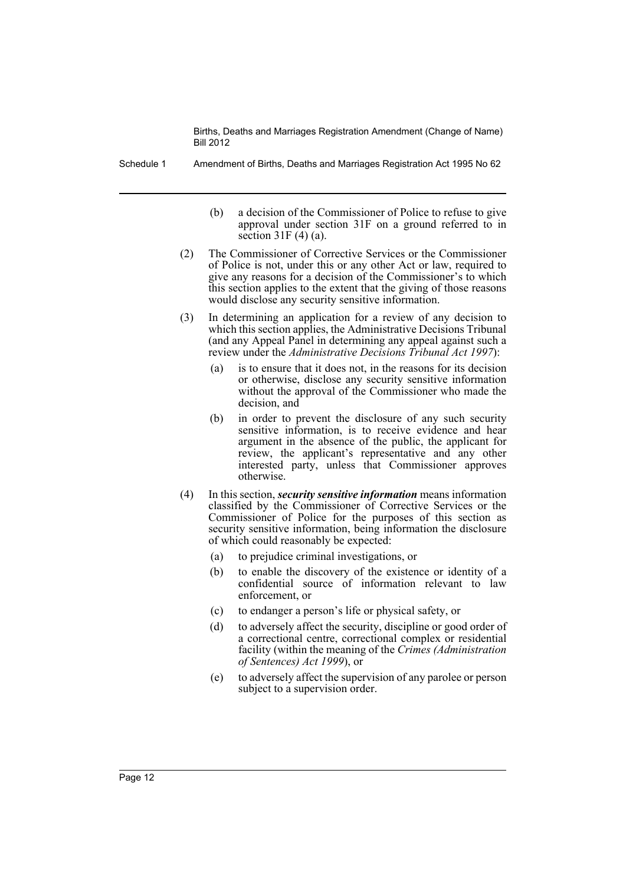Schedule 1 Amendment of Births, Deaths and Marriages Registration Act 1995 No 62

- (b) a decision of the Commissioner of Police to refuse to give approval under section 31F on a ground referred to in section  $31F(4)(a)$ .
- (2) The Commissioner of Corrective Services or the Commissioner of Police is not, under this or any other Act or law, required to give any reasons for a decision of the Commissioner's to which this section applies to the extent that the giving of those reasons would disclose any security sensitive information.
- (3) In determining an application for a review of any decision to which this section applies, the Administrative Decisions Tribunal (and any Appeal Panel in determining any appeal against such a review under the *Administrative Decisions Tribunal Act 1997*):
	- (a) is to ensure that it does not, in the reasons for its decision or otherwise, disclose any security sensitive information without the approval of the Commissioner who made the decision, and
	- (b) in order to prevent the disclosure of any such security sensitive information, is to receive evidence and hear argument in the absence of the public, the applicant for review, the applicant's representative and any other interested party, unless that Commissioner approves otherwise.
- (4) In this section, *security sensitive information* means information classified by the Commissioner of Corrective Services or the Commissioner of Police for the purposes of this section as security sensitive information, being information the disclosure of which could reasonably be expected:
	- (a) to prejudice criminal investigations, or
	- (b) to enable the discovery of the existence or identity of a confidential source of information relevant to law enforcement, or
	- (c) to endanger a person's life or physical safety, or
	- (d) to adversely affect the security, discipline or good order of a correctional centre, correctional complex or residential facility (within the meaning of the *Crimes (Administration of Sentences) Act 1999*), or
	- (e) to adversely affect the supervision of any parolee or person subject to a supervision order.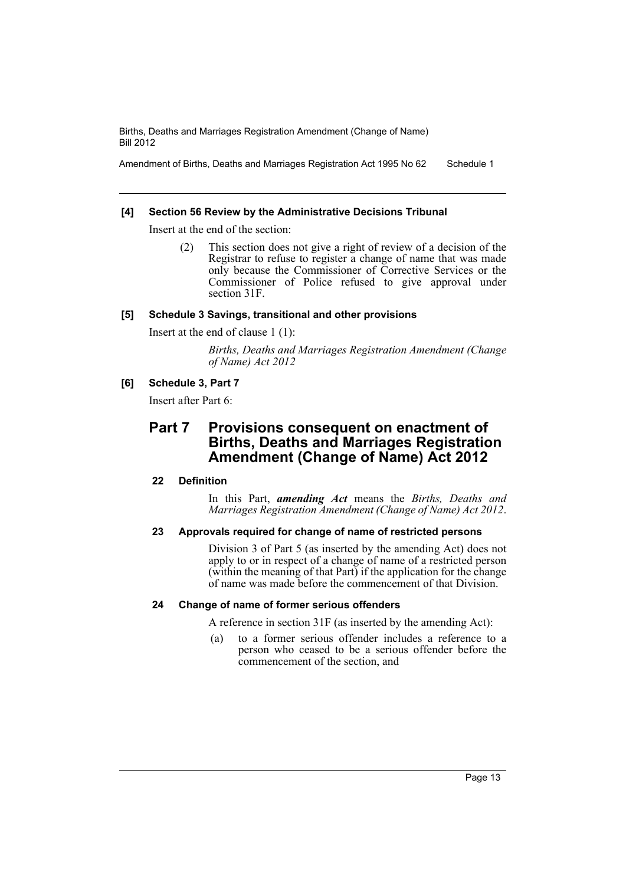Amendment of Births, Deaths and Marriages Registration Act 1995 No 62 Schedule 1

## **[4] Section 56 Review by the Administrative Decisions Tribunal**

Insert at the end of the section:

(2) This section does not give a right of review of a decision of the Registrar to refuse to register a change of name that was made only because the Commissioner of Corrective Services or the Commissioner of Police refused to give approval under section 31F.

## **[5] Schedule 3 Savings, transitional and other provisions**

Insert at the end of clause 1 (1):

*Births, Deaths and Marriages Registration Amendment (Change of Name) Act 2012*

## **[6] Schedule 3, Part 7**

Insert after Part 6:

# **Part 7 Provisions consequent on enactment of Births, Deaths and Marriages Registration Amendment (Change of Name) Act 2012**

## **22 Definition**

In this Part, *amending Act* means the *Births, Deaths and Marriages Registration Amendment (Change of Name) Act 2012*.

## **23 Approvals required for change of name of restricted persons**

Division 3 of Part 5 (as inserted by the amending Act) does not apply to or in respect of a change of name of a restricted person (within the meaning of that Part) if the application for the change of name was made before the commencement of that Division.

## **24 Change of name of former serious offenders**

A reference in section 31F (as inserted by the amending Act):

(a) to a former serious offender includes a reference to a person who ceased to be a serious offender before the commencement of the section, and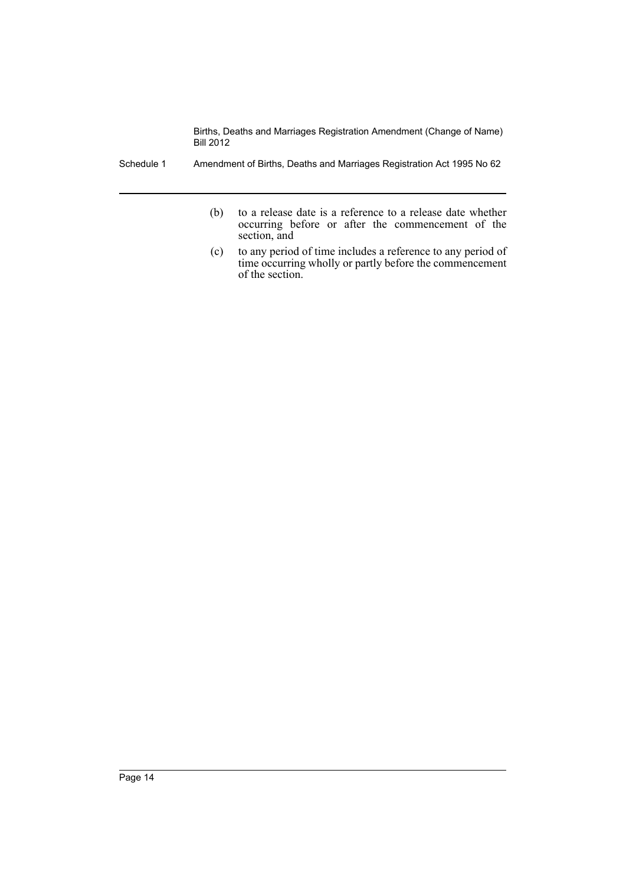Schedule 1 Amendment of Births, Deaths and Marriages Registration Act 1995 No 62

- (b) to a release date is a reference to a release date whether occurring before or after the commencement of the section, and
- (c) to any period of time includes a reference to any period of time occurring wholly or partly before the commencement of the section.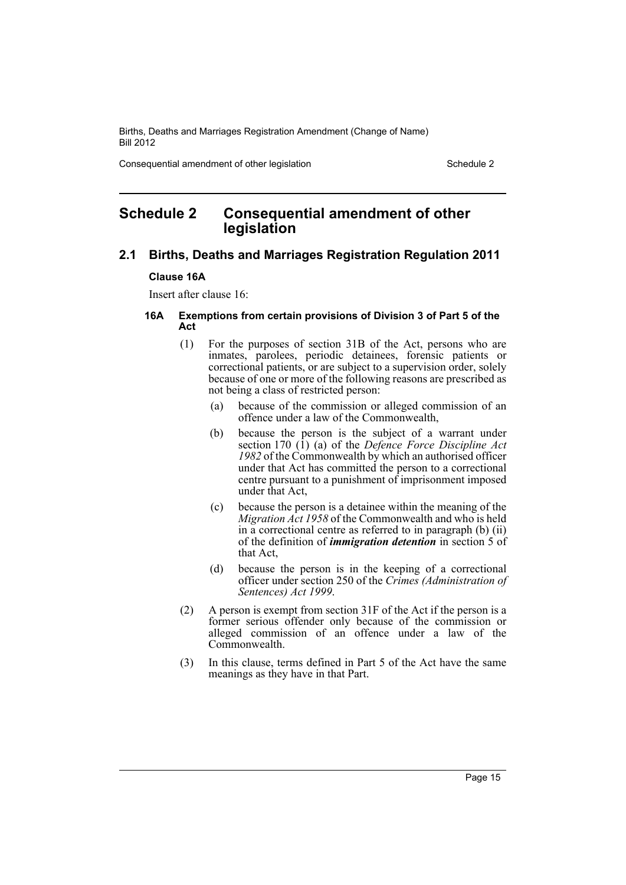Consequential amendment of other legislation Schedule 2 Schedule 2

## <span id="page-16-0"></span>**Schedule 2 Consequential amendment of other legislation**

## **2.1 Births, Deaths and Marriages Registration Regulation 2011**

## **Clause 16A**

Insert after clause 16:

#### **16A Exemptions from certain provisions of Division 3 of Part 5 of the Act**

- (1) For the purposes of section 31B of the Act, persons who are inmates, parolees, periodic detainees, forensic patients or correctional patients, or are subject to a supervision order, solely because of one or more of the following reasons are prescribed as not being a class of restricted person:
	- (a) because of the commission or alleged commission of an offence under a law of the Commonwealth,
	- (b) because the person is the subject of a warrant under section 170 (1) (a) of the *Defence Force Discipline Act 1982* of the Commonwealth by which an authorised officer under that Act has committed the person to a correctional centre pursuant to a punishment of imprisonment imposed under that Act,
	- (c) because the person is a detainee within the meaning of the *Migration Act 1958* of the Commonwealth and who is held in a correctional centre as referred to in paragraph (b) (ii) of the definition of *immigration detention* in section 5 of that Act,
	- (d) because the person is in the keeping of a correctional officer under section 250 of the *Crimes (Administration of Sentences) Act 1999*.
- (2) A person is exempt from section 31F of the Act if the person is a former serious offender only because of the commission or alleged commission of an offence under a law of the Commonwealth.
- (3) In this clause, terms defined in Part 5 of the Act have the same meanings as they have in that Part.